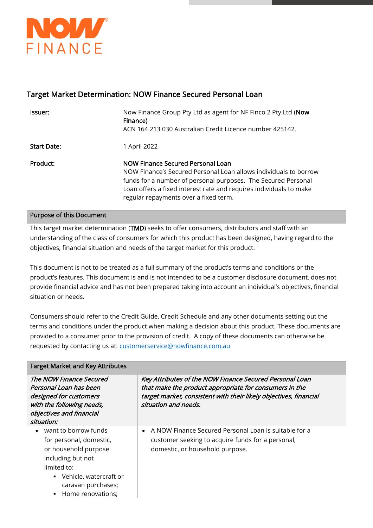

# Target Market Determination: NOW Finance Secured Personal Loan

| lssuer:            | Now Finance Group Pty Ltd as agent for NF Finco 2 Pty Ltd (Now<br>Finance)<br>ACN 164 213 030 Australian Credit Licence number 425142.                                                                                                                                                |
|--------------------|---------------------------------------------------------------------------------------------------------------------------------------------------------------------------------------------------------------------------------------------------------------------------------------|
| <b>Start Date:</b> | 1 April 2022                                                                                                                                                                                                                                                                          |
| Product:           | NOW Finance Secured Personal Loan<br>NOW Finance's Secured Personal Loan allows individuals to borrow<br>funds for a number of personal purposes. The Secured Personal<br>Loan offers a fixed interest rate and requires individuals to make<br>regular repayments over a fixed term. |

#### Purpose of this Document

This target market determination (TMD) seeks to offer consumers, distributors and staff with an understanding of the class of consumers for which this product has been designed, having regard to the objectives, financial situation and needs of the target market for this product.

This document is not to be treated as a full summary of the product's terms and conditions or the product's features. This document is and is not intended to be a customer disclosure document, does not provide financial advice and has not been prepared taking into account an individual's objectives, financial situation or needs.

Consumers should refer to the Credit Guide, Credit Schedule and any other documents setting out the terms and conditions under the product when making a decision about this product. These documents are provided to a consumer prior to the provision of credit. A copy of these documents can otherwise be requested by contacting us at: **customerservice@nowfinance.com.au** 

| <b>Target Market and Key Attributes</b>                                                                                                                     |                                                                                                                                                                                                                |  |  |
|-------------------------------------------------------------------------------------------------------------------------------------------------------------|----------------------------------------------------------------------------------------------------------------------------------------------------------------------------------------------------------------|--|--|
| The NOW Finance Secured<br>Personal Loan has been<br>designed for customers<br>with the following needs,<br>objectives and financial<br>situation:          | Key Attributes of the NOW Finance Secured Personal Loan<br>that make the product appropriate for consumers in the<br>target market, consistent with their likely objectives, financial<br>situation and needs. |  |  |
| want to borrow funds<br>for personal, domestic,<br>or household purpose<br>including but not<br>limited to:<br>Vehicle, watercraft or<br>caravan purchases; | A NOW Finance Secured Personal Loan is suitable for a<br>customer seeking to acquire funds for a personal,<br>domestic, or household purpose.                                                                  |  |  |
| Home renovations;                                                                                                                                           |                                                                                                                                                                                                                |  |  |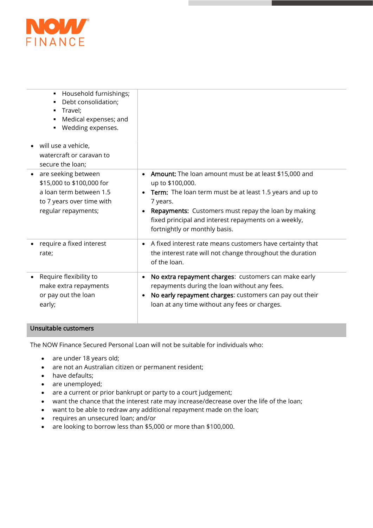

| Household furnishings;<br>٠<br>Debt consolidation;<br>п<br>Travel;<br>п<br>Medical expenses; and<br>Wedding expenses.<br>will use a vehicle, |                                                                                                                                                                                                                                                                                                                       |
|----------------------------------------------------------------------------------------------------------------------------------------------|-----------------------------------------------------------------------------------------------------------------------------------------------------------------------------------------------------------------------------------------------------------------------------------------------------------------------|
| watercraft or caravan to<br>secure the loan;                                                                                                 |                                                                                                                                                                                                                                                                                                                       |
| are seeking between<br>\$15,000 to \$100,000 for<br>a loan term between 1.5<br>to 7 years over time with<br>regular repayments;              | <b>Amount:</b> The loan amount must be at least \$15,000 and<br>$\bullet$<br>up to \$100,000.<br>Term: The loan term must be at least 1.5 years and up to<br>7 years.<br>Repayments: Customers must repay the loan by making<br>fixed principal and interest repayments on a weekly,<br>fortnightly or monthly basis. |
| require a fixed interest<br>rate;                                                                                                            | A fixed interest rate means customers have certainty that<br>$\bullet$<br>the interest rate will not change throughout the duration<br>of the loan.                                                                                                                                                                   |
| Require flexibility to<br>make extra repayments<br>or pay out the loan<br>early;                                                             | No extra repayment charges: customers can make early<br>$\bullet$<br>repayments during the loan without any fees.<br>No early repayment charges: customers can pay out their<br>$\bullet$<br>loan at any time without any fees or charges.                                                                            |

### Unsuitable customers

The NOW Finance Secured Personal Loan will not be suitable for individuals who:

- are under 18 years old;
- are not an Australian citizen or permanent resident;
- have defaults;
- are unemployed;
- are a current or prior bankrupt or party to a court judgement;
- want the chance that the interest rate may increase/decrease over the life of the loan;
- want to be able to redraw any additional repayment made on the loan;
- requires an unsecured loan; and/or
- are looking to borrow less than \$5,000 or more than \$100,000.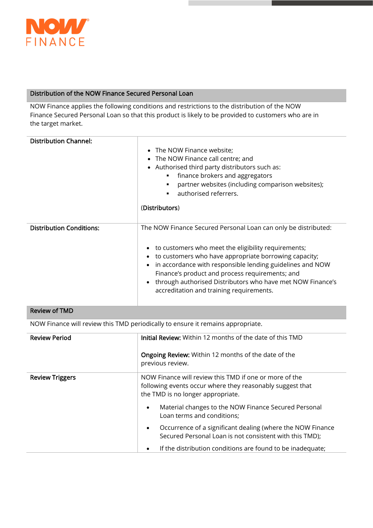

#### Distribution of the NOW Finance Secured Personal Loan

NOW Finance applies the following conditions and restrictions to the distribution of the NOW Finance Secured Personal Loan so that this product is likely to be provided to customers who are in the target market.

| <b>Distribution Channel:</b>    | The NOW Finance website;<br>$\bullet$<br>• The NOW Finance call centre; and<br>Authorised third party distributors such as:<br>$\bullet$<br>finance brokers and aggregators<br>partner websites (including comparison websites);<br>authorised referrers.<br>(Distributors)                                                                                                                              |
|---------------------------------|----------------------------------------------------------------------------------------------------------------------------------------------------------------------------------------------------------------------------------------------------------------------------------------------------------------------------------------------------------------------------------------------------------|
| <b>Distribution Conditions:</b> | The NOW Finance Secured Personal Loan can only be distributed:<br>to customers who meet the eligibility requirements;<br>to customers who have appropriate borrowing capacity;<br>in accordance with responsible lending guidelines and NOW<br>Finance's product and process requirements; and<br>through authorised Distributors who have met NOW Finance's<br>accreditation and training requirements. |

#### Review of TMD

NOW Finance will review this TMD periodically to ensure it remains appropriate.

| <b>Review Period</b>   | <b>Initial Review:</b> Within 12 months of the date of this TMD                                                                                          |  |
|------------------------|----------------------------------------------------------------------------------------------------------------------------------------------------------|--|
|                        | <b>Ongoing Review:</b> Within 12 months of the date of the<br>previous review.                                                                           |  |
| <b>Review Triggers</b> | NOW Finance will review this TMD if one or more of the<br>following events occur where they reasonably suggest that<br>the TMD is no longer appropriate. |  |
|                        | Material changes to the NOW Finance Secured Personal<br>$\bullet$<br>Loan terms and conditions;                                                          |  |
|                        | Occurrence of a significant dealing (where the NOW Finance<br>$\bullet$<br>Secured Personal Loan is not consistent with this TMD);                       |  |
|                        | If the distribution conditions are found to be inadequate;<br>$\bullet$                                                                                  |  |